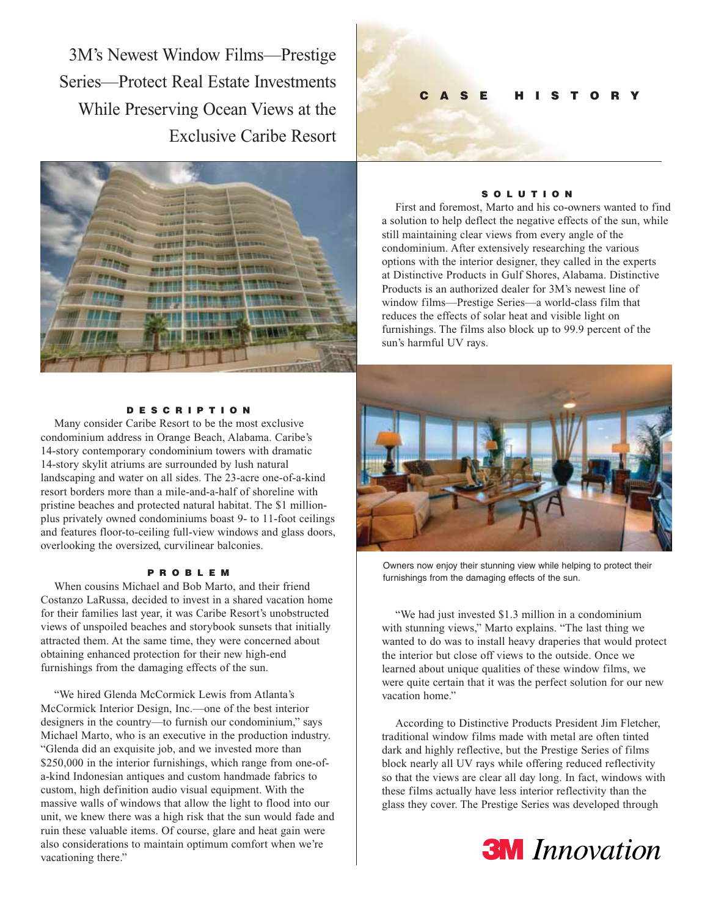3M's Newest Window Films—Prestige Series—Protect Real Estate Investments While Preserving Ocean Views at the Exclusive Caribe Resort



## **DESCRIPTION**

Many consider Caribe Resort to be the most exclusive condominium address in Orange Beach, Alabama. Caribe's 14-story contemporary condominium towers with dramatic 14-story skylit atriums are surrounded by lush natural landscaping and water on all sides. The 23-acre one-of-a-kind resort borders more than a mile-and-a-half of shoreline with pristine beaches and protected natural habitat. The \$1 millionplus privately owned condominiums boast 9- to 11-foot ceilings and features floor-to-ceiling full-view windows and glass doors, overlooking the oversized, curvilinear balconies.

# **PROBLEM**

When cousins Michael and Bob Marto, and their friend Costanzo LaRussa, decided to invest in a shared vacation home for their families last year, it was Caribe Resort's unobstructed views of unspoiled beaches and storybook sunsets that initially attracted them. At the same time, they were concerned about obtaining enhanced protection for their new high-end furnishings from the damaging effects of the sun.

"We hired Glenda McCormick Lewis from Atlanta's McCormick Interior Design, Inc.—one of the best interior designers in the country—to furnish our condominium," says Michael Marto, who is an executive in the production industry. "Glenda did an exquisite job, and we invested more than \$250,000 in the interior furnishings, which range from one-ofa-kind Indonesian antiques and custom handmade fabrics to custom, high definition audio visual equipment. With the massive walls of windows that allow the light to flood into our unit, we knew there was a high risk that the sun would fade and ruin these valuable items. Of course, glare and heat gain were also considerations to maintain optimum comfort when we're vacationing there."

# **CASE HISTORY**

### **SOLUTION**

First and foremost, Marto and his co-owners wanted to find a solution to help deflect the negative effects of the sun, while still maintaining clear views from every angle of the condominium. After extensively researching the various options with the interior designer, they called in the experts at Distinctive Products in Gulf Shores, Alabama. Distinctive Products is an authorized dealer for 3M's newest line of window films—Prestige Series—a world-class film that reduces the effects of solar heat and visible light on furnishings. The films also block up to 99.9 percent of the sun's harmful UV rays.



Owners now enjoy their stunning view while helping to protect their furnishings from the damaging effects of the sun.

"We had just invested \$1.3 million in a condominium with stunning views," Marto explains. "The last thing we wanted to do was to install heavy draperies that would protect the interior but close off views to the outside. Once we learned about unique qualities of these window films, we were quite certain that it was the perfect solution for our new vacation home."

According to Distinctive Products President Jim Fletcher, traditional window films made with metal are often tinted dark and highly reflective, but the Prestige Series of films block nearly all UV rays while offering reduced reflectivity so that the views are clear all day long. In fact, windows with these films actually have less interior reflectivity than the glass they cover. The Prestige Series was developed through